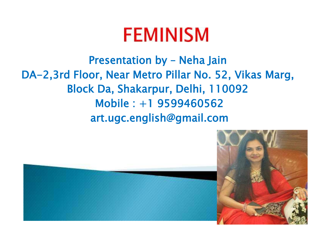## **FEMINISM**

Presentation by – Neha Jain DA-2,3rd Floor, Near Metro Pillar No. 52, Vikas Marg, Block Da, Shakarpur, Delhi, 110092 Mobile : +1 9599460562 art.ugc.english@gmail.com

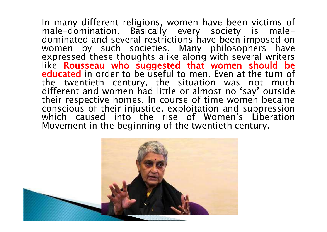In many different religions, women have been victims of male-domination. Basically every society is maledominated and several restrictions have been imposed on women by such societies. Many philosophers have expressed these thoughts alike along with several writers like Rousseau who suggested that women should be educated in order to be useful to men. Even at the turn of the twentieth century, the situation was not much different and women had little or almost no 'say' outside their respective homes. In course of time women became conscious of their injustice, exploitation and suppression which caused into the rise of Women's Liberation Movement in the beginning of the twentieth century.

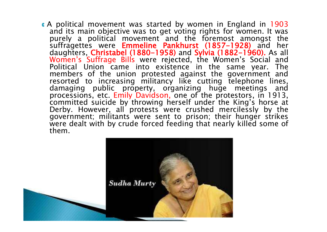**<sup>C</sup>** A political movement was started by women in England in 1903 and its main objective was to get voting rights for women. It was purely a political movement and the foremost amongst the suffragettes were **Emmeline Pankhurst (1857-1928)** and her daughters, Christabel (1880-1958) and Sylvia (1882-1960). As all Women's Suffrage Bills were rejected, the Women's Social and Political Union came into existence in the same year. The members of the union protested against the government and resorted to increasing militancy like cutting telephone lines, damaging public property, organizing huge meetings and processions, etc. Emily Davidson, one of the protestors, in 1913, committed suicide by throwing herself under the King's horse at Derby. However, all protests were crushed mercilessly by the government; militants were sent to prison; their hunger strikes were dealt with by crude forced feeding that nearly killed some of them.

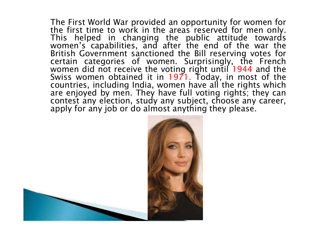The First World War provided an opportunity for women for the first time to work in the areas reserved for men only. This helped in changing the public attitude towards women's capabilities, and after the end of the war the British Government sanctioned the Bill reserving votes for certain categories of women. Surprisingly, the French women did not receive the voting right until 1944 and the Swiss women obtained it in 1971. Today, in most of the countries, including India, women have all the rights which are enjoyed by men. They have full voting rights; they can contest any election, study any subject, choose any career, apply for any job or do almost anything they please.



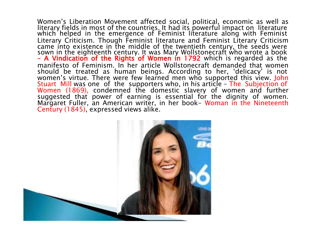Women's Liberation Movement affected social, political, economic as well as literary fields in most of the countries. It had its powerful impact on literature which helped in the emergence of Feminist literature along with Feminist Literary Criticism. Though Feminist literature and Feminist Literary Criticism came into existence in the middle of the twentieth century, the seeds were sown in the eighteenth century. It was Mary Wollstonecraft who wrote a book – A Vindication of the Rights of Women in 1792 which is regarded as the manifesto of Feminism. In her article Wollstonecraft demanded that women should be treated as human beings. According to her, 'delicacy' is not women's virtue. There were few learned men who supported this view. John Stuart Mill was one of the supporters who, in his article – The Subjection of Women (1869), condemned the domestic slavery of women and further suggested that power of earning is essential for the dignity of women. Margaret Fuller, an American writer, in her book- Woman in the Nineteenth Century (1845), expressed views alike.

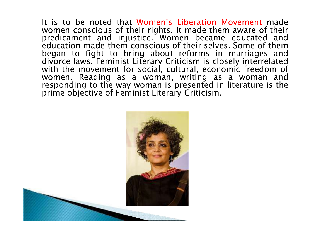It is to be noted that Women's Liberation Movement made women conscious of their rights. It made them aware of their predicament and injustice. Women became educated and education made them conscious of their selves. Some of them began to fight to bring about reforms in marriages and divorce laws. Feminist Literary Criticism is closely interrelated with the movement for social, cultural, economic freedom of women. Reading as a woman, writing as a woman and responding to the way woman is presented in literature is the prime objective of Feminist Literary Criticism.

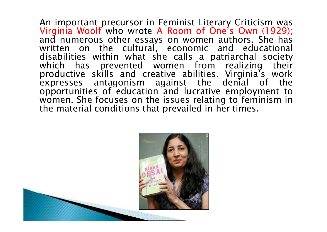An important precursor in Feminist Literary Criticism was Virginia Woolf who wrote A Room of One's Own (1929); and numerous other essays on women authors. She has written on the cultural, economic and educational disabilities within what she calls a patriarchal society which has prevented women from realizing their productive skills and creative abilities. Virginia's work expresses antagonism against the denial of the opportunities of education and lucrative employment to women. She focuses on the issues relating to feminism in the material conditions that prevailed in her times.

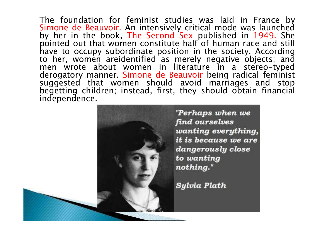The foundation for feminist studies was laid in France by Simone de Beauvoir. An intensively critical mode was launched by her in the book, The Second Sex published in 1949. She pointed out that women constitute half of human race and still have to occupy subordinate position in the society. According to her, women areidentified as merely negative objects; and men wrote about women in literature in a stereo-typed derogatory manner. Simone de Beauvoir being radical feminist suggested that women should avoid marriages and stop begetting children; instead, first, they should obtain financial independence.

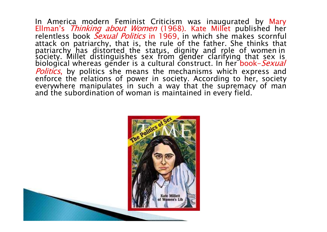In America modern Feminist Criticism was inaugurated by Mary Ellman's Thinking about Women (1968). Kate Millet published her relentless book Sexual Politics in 1969, in which she makes scornful attack on patriarchy, that is, the rule of the father. She thinks that patriarchy has distorted the status, dignity and role of women in society. Millet distinguishes sex from gender clarifying that sex is biological whereas gender is a cultural construct. In her book-*Sexual* Politics, by politics she means the mechanisms which express and enforce the relations of power in society. According to her, society everywhere manipulates in such a way that the supremacy of man and the subordination of woman is maintained in every field.

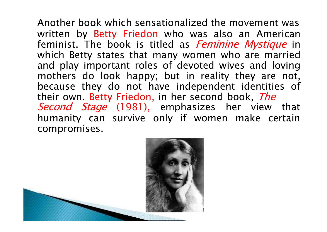Another book which sensationalized the movement was written by Betty Friedon who was also an American feminist. The book is titled as *Feminine Mystique* in which Betty states that many women who are married and play important roles of devoted wives and loving mothers do look happy; but in reality they are not, because they do not have independent identities of their own. Betty Friedon, in her second book, The Second Stage (1981), emphasizes her view that humanity can survive only if women make certain compromises.

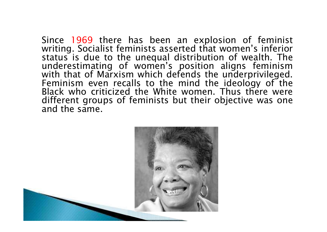Since 1969 there has been an explosion of feminist writing. Socialist feminists asserted that women's inferior status is due to the unequal distribution of wealth. The underestimating of women's position aligns feminism with that of Marxism which defends the underprivileged. Feminism even recalls to the mind the ideology of the Black who criticized the White women. Thus there were different groups of feminists but their objective was one and the same.

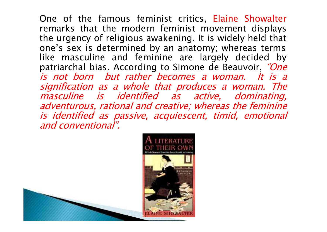One of the famous feminist critics, Elaine Showalter remarks that the modern feminist movement displays the urgency of religious awakening. It is widely held that one's sex is determined by an anatomy; whereas terms like masculine and feminine are largely decided by patriarchal bias. According to Simone de Beauvoir, "One is not born but rather becomes a woman. It is a signification as <sup>a</sup> whole that produces <sup>a</sup> woman. The masculine is identified as active, dominating, adventurous, rational and creative; whereas the feminine is identified as passive, acquiescent, timid, emotional and conventional".

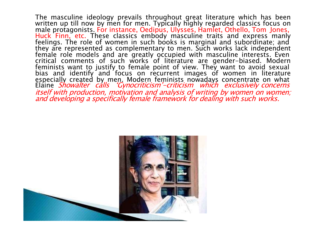The masculine ideology prevails throughout great literature which has been written up till now by men for men. Typically highly regarded classics focus on male protagonists. For instance, Oedipus, Ulysses, Hamlet, Othello, Tom Jones, Huck Finn, etc. These classics embody masculine traits and express manly feelings. The role of women in such books is marginal and subordinate; and they are represented as complementary to men. Such works lack independent female role models and are greatly occupied with masculine interests. Even critical comments of such works of literature are gender-biased. Modern feminists want to justify to female point of view. They want to avoid sexual bias and identify and focus on recurrent images of women in literature especially created by men. Modern feminists nowadays concentrate on what Elaine *Showalter calls 'Gynocriticism'-criticism which exclusively concerns* itself with production, motivation and analysis of writing by women on women; and developing a specifically female framework for dealing with such works.

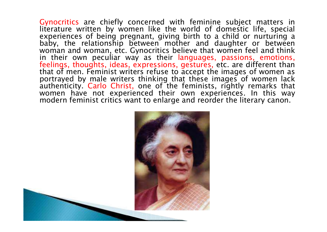Gynocritics are chiefly concerned with feminine subject matters in literature written by women like the world of domestic life, special experiences of being pregnant, giving birth to a child or nurturing a baby, the relationship between mother and daughter or between woman and woman, etc. Gynocritics believe that women feel and think in their own peculiar way as their languages, passions, emotions, feelings, thoughts, ideas, expressions, gestures, etc. are different than that of men. Feminist writers refuse to accept the images of women as portrayed by male writers thinking that these images of women lack authenticity. Carlo Christ, one of the feminists, rightly remarks that women have not experienced their own experiences. In this way modern feminist critics want to enlarge and reorder the literary canon.

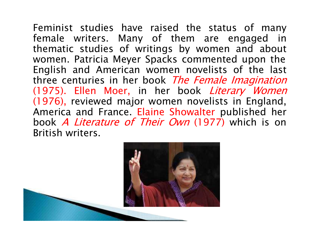Feminist studies have raised the status of many female writers. Many of them are engaged in thematic studies of writings by women and about women. Patricia Meyer Spacks commented upon the English and American women novelists of the last three centuries in her book The Female Imagination (1975). Ellen Moer, in her book Literary Women (1976), reviewed major women novelists in England, America and France. Elaine Showalter published her book A Literature of Their Own (1977) which is on British writers.

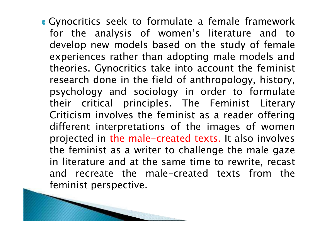**<sup>C</sup>** Gynocritics seek to formulate a female framework for the analysis of women's literature and to develop new models based on the study of female experiences rather than adopting male models and theories. Gynocritics take into account the feminist research done in the field of anthropology, history, psychology and sociology in order to formulate their critical principles. The Feminist Literary Criticism involves the feminist as a reader offering different interpretations of the images of women projected in the male-created texts. It also involves the feminist as a writer to challenge the male gaze in literature and at the same time to rewrite, recast and recreate the male-created texts from the feminist perspective.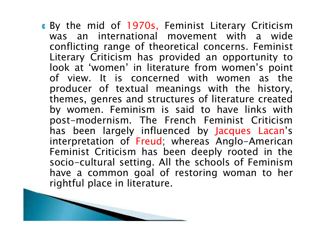**C** By the mid of 1970s, Feminist Literary Criticism was an international movement with a wide conflicting range of theoretical concerns. Feminist Literary Criticism has provided an opportunity to look at 'women' in literature from women's point of view. It is concerned with women as the producer of textual meanings with the history, themes, genres and structures of literature created by women. Feminism is said to have links with post-modernism. The French Feminist Criticism has been largely influenced by Jacques Lacan's interpretation of Freud; whereas Anglo-American Feminist Criticism has been deeply rooted in the socio-cultural setting. All the schools of Feminism have a common goal of restoring woman to her rightful place in literature.

and the second state of the contract of